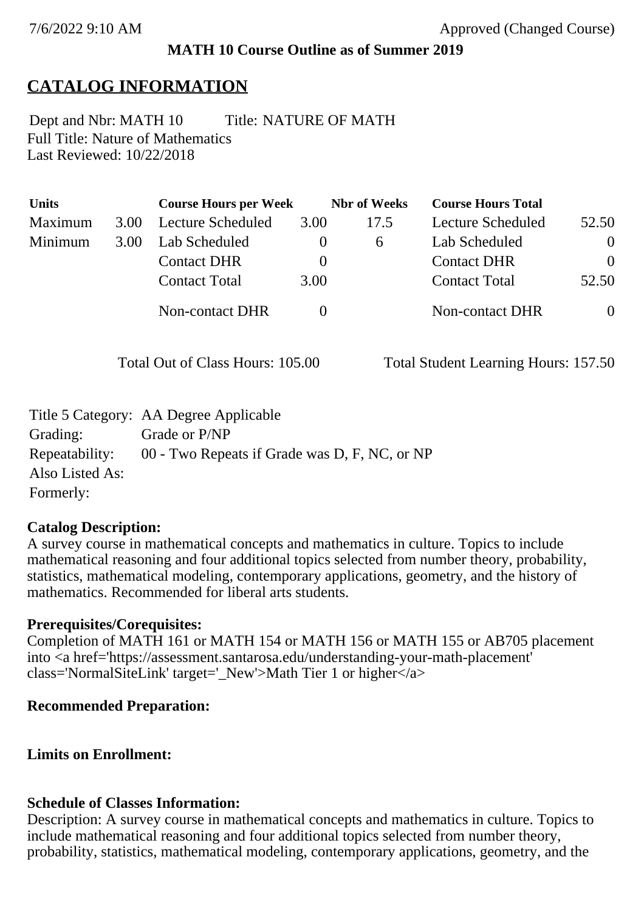## **MATH 10 Course Outline as of Summer 2019**

# **CATALOG INFORMATION**

Full Title: Nature of Mathematics Last Reviewed: 10/22/2018 Dept and Nbr: MATH 10 Title: NATURE OF MATH

| <b>Units</b> |      | <b>Course Hours per Week</b> |          | <b>Nbr</b> of Weeks | <b>Course Hours Total</b> |          |
|--------------|------|------------------------------|----------|---------------------|---------------------------|----------|
| Maximum      | 3.00 | Lecture Scheduled            | 3.00     | 17.5                | Lecture Scheduled         | 52.50    |
| Minimum      | 3.00 | Lab Scheduled                | $\theta$ | 6                   | Lab Scheduled             | $\theta$ |
|              |      | <b>Contact DHR</b>           | $\theta$ |                     | <b>Contact DHR</b>        | $\Omega$ |
|              |      | <b>Contact Total</b>         | 3.00     |                     | <b>Contact Total</b>      | 52.50    |
|              |      | Non-contact DHR              |          |                     | <b>Non-contact DHR</b>    | $\theta$ |

Total Out of Class Hours: 105.00 Total Student Learning Hours: 157.50

|                 | Title 5 Category: AA Degree Applicable        |
|-----------------|-----------------------------------------------|
| Grading:        | Grade or P/NP                                 |
| Repeatability:  | 00 - Two Repeats if Grade was D, F, NC, or NP |
| Also Listed As: |                                               |
| Formerly:       |                                               |

## **Catalog Description:**

A survey course in mathematical concepts and mathematics in culture. Topics to include mathematical reasoning and four additional topics selected from number theory, probability, statistics, mathematical modeling, contemporary applications, geometry, and the history of mathematics. Recommended for liberal arts students.

## **Prerequisites/Corequisites:**

Completion of MATH 161 or MATH 154 or MATH 156 or MATH 155 or AB705 placement into <a href='https://assessment.santarosa.edu/understanding-your-math-placement' class='NormalSiteLink' target='\_New'>Math Tier 1 or higher</a>

## **Recommended Preparation:**

## **Limits on Enrollment:**

## **Schedule of Classes Information:**

Description: A survey course in mathematical concepts and mathematics in culture. Topics to include mathematical reasoning and four additional topics selected from number theory, probability, statistics, mathematical modeling, contemporary applications, geometry, and the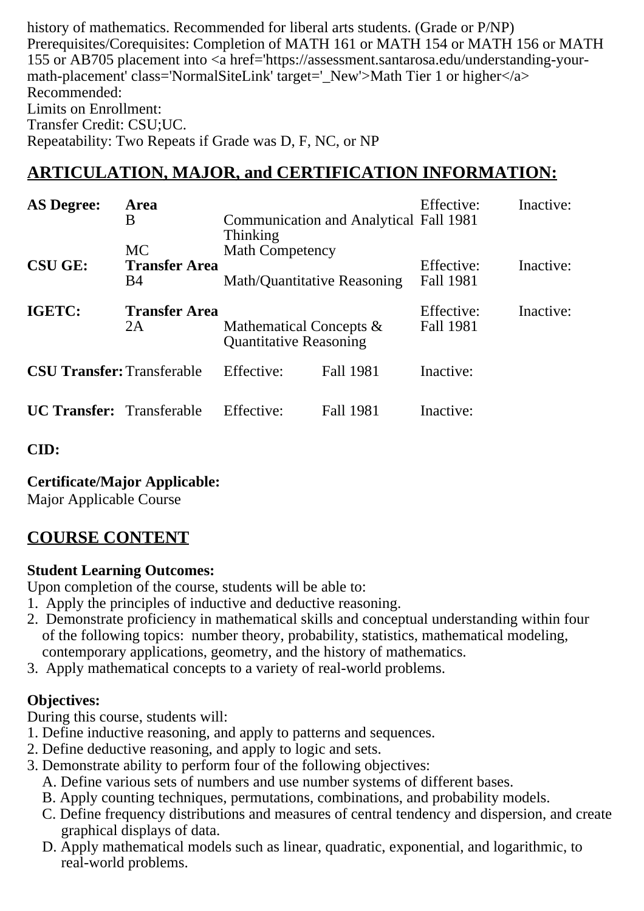history of mathematics. Recommended for liberal arts students. (Grade or P/NP) Prerequisites/Corequisites: Completion of MATH 161 or MATH 154 or MATH 156 or MATH 155 or AB705 placement into <a href='https://assessment.santarosa.edu/understanding-yourmath-placement' class='NormalSiteLink' target='\_New'>Math Tier 1 or higher</a> Recommended: Limits on Enrollment: Transfer Credit: CSU;UC. Repeatability: Two Repeats if Grade was D, F, NC, or NP

## **ARTICULATION, MAJOR, and CERTIFICATION INFORMATION:**

| <b>AS Degree:</b>                 | Area<br>B                                       | <b>Communication and Analytical Fall 1981</b><br>Thinking   |                  | Effective:              | Inactive: |
|-----------------------------------|-------------------------------------------------|-------------------------------------------------------------|------------------|-------------------------|-----------|
| <b>CSU GE:</b>                    | <b>MC</b><br><b>Transfer Area</b><br><b>B</b> 4 | <b>Math Competency</b><br>Math/Quantitative Reasoning       |                  | Effective:<br>Fall 1981 | Inactive: |
| IGETC:                            | <b>Transfer Area</b><br>2A                      | Mathematical Concepts $\&$<br><b>Quantitative Reasoning</b> |                  | Effective:<br>Fall 1981 | Inactive: |
| <b>CSU Transfer: Transferable</b> |                                                 | Effective:                                                  | <b>Fall 1981</b> | Inactive:               |           |
| <b>UC Transfer:</b> Transferable  |                                                 | Effective:                                                  | <b>Fall 1981</b> | Inactive:               |           |

**CID:**

**Certificate/Major Applicable:** 

[Major Applicable Course](SR_ClassCheck.aspx?CourseKey=MATH10)

## **COURSE CONTENT**

#### **Student Learning Outcomes:**

Upon completion of the course, students will be able to:

- 1. Apply the principles of inductive and deductive reasoning.
- 2. Demonstrate proficiency in mathematical skills and conceptual understanding within four of the following topics: number theory, probability, statistics, mathematical modeling, contemporary applications, geometry, and the history of mathematics.
- 3. Apply mathematical concepts to a variety of real-world problems.

### **Objectives:**

During this course, students will:

- 1. Define inductive reasoning, and apply to patterns and sequences.
- 2. Define deductive reasoning, and apply to logic and sets.
- 3. Demonstrate ability to perform four of the following objectives:
	- A. Define various sets of numbers and use number systems of different bases.
	- B. Apply counting techniques, permutations, combinations, and probability models.
	- C. Define frequency distributions and measures of central tendency and dispersion, and create graphical displays of data.
	- D. Apply mathematical models such as linear, quadratic, exponential, and logarithmic, to real-world problems.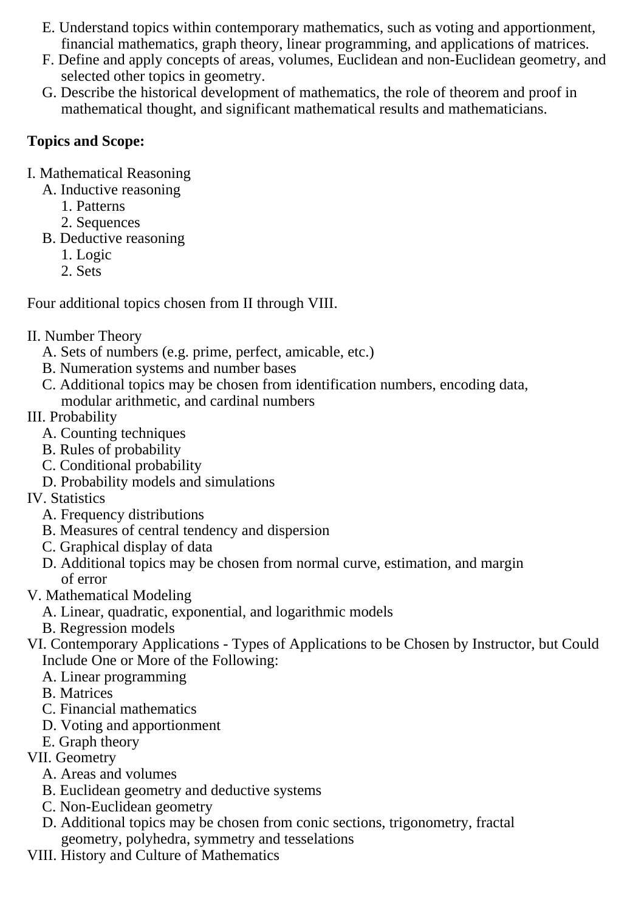- E. Understand topics within contemporary mathematics, such as voting and apportionment, financial mathematics, graph theory, linear programming, and applications of matrices.
- F. Define and apply concepts of areas, volumes, Euclidean and non-Euclidean geometry, and selected other topics in geometry.
- G. Describe the historical development of mathematics, the role of theorem and proof in mathematical thought, and significant mathematical results and mathematicians.

### **Topics and Scope:**

- I. Mathematical Reasoning
	- A. Inductive reasoning
		- 1. Patterns
		- 2. Sequences
	- B. Deductive reasoning
		- 1. Logic
		- 2. Sets

Four additional topics chosen from II through VIII.

### II. Number Theory

- A. Sets of numbers (e.g. prime, perfect, amicable, etc.)
- B. Numeration systems and number bases
- C. Additional topics may be chosen from identification numbers, encoding data, modular arithmetic, and cardinal numbers
- III. Probability
	- A. Counting techniques
	- B. Rules of probability
	- C. Conditional probability
	- D. Probability models and simulations
- IV. Statistics
	- A. Frequency distributions
	- B. Measures of central tendency and dispersion
	- C. Graphical display of data
	- D. Additional topics may be chosen from normal curve, estimation, and margin of error
- V. Mathematical Modeling
	- A. Linear, quadratic, exponential, and logarithmic models
	- B. Regression models
- VI. Contemporary Applications Types of Applications to be Chosen by Instructor, but Could Include One or More of the Following:
	- A. Linear programming
	- B. Matrices
	- C. Financial mathematics
	- D. Voting and apportionment
	- E. Graph theory
- VII. Geometry
	- A. Areas and volumes
	- B. Euclidean geometry and deductive systems
	- C. Non-Euclidean geometry
	- D. Additional topics may be chosen from conic sections, trigonometry, fractal geometry, polyhedra, symmetry and tesselations
- VIII. History and Culture of Mathematics